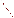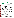# **THE ENVIRONMENTAL TECHNOLOGY VERIFICATION**







# **ETV Joint Verification Statement**

|                                      | TECHNOLOGY TYPE: RAPID TOXICITY TESTING SYSTEM                |             |                                             |
|--------------------------------------|---------------------------------------------------------------|-------------|---------------------------------------------|
| <b>APPLICATION:</b>                  | DETECTING TOXICITY IN DRINKING WATER                          |             |                                             |
| <b>TECHNOLOGY NAME: ToxScreen-II</b> |                                                               |             |                                             |
| <b>COMPANY:</b><br><b>ADDRESS:</b>   | CheckLight, Ltd.<br>P.O.Box 72<br>Qiryat Tiv'on 36000, Israel | <b>FAX:</b> | PHONE: (972) 4 9930530<br>$(972)$ 4 9533176 |
| <b>WEB SITE:</b><br>E-MAIL:          | http://www.checklight.co.il/<br>info@checklight.co.il         |             |                                             |

The U.S. Environmental Protection Agency (EPA) supports the Environmental Technology Verification (ETV) Program to facilitate the deployment of innovative or improved environmental technologies through performance verification and dissemination of information. The goal of the ETV Program is to further environmental protection by accelerating the acceptance and use of improved and cost-effective technologies. ETV seeks to achieve this goal by providing high-quality, peer-reviewed data on technology performance to those involved in the design, distribution, financing, permitting, purchase, and use of environmental technologies.

ETV works in partnership with recognized standards and testing organizations, with stakeholder groups (consisting of buyers, vendor organizations, and permitters), and with individual technology developers. The program evaluates the performance of innovative technologies by developing test plans that are responsive to the needs of stakeholders, conducting field or laboratory tests (as appropriate), collecting and analyzing data, and preparing peer-reviewed reports. All evaluations are conducted in accordance with rigorous quality assurance (QA) protocols to ensure that data of known and adequate quality are generated and that the results are defensible.

The Advanced Monitoring Systems (AMS) Center, one of seven technology areas under ETV, is operated by Battelle in cooperation with EPA's National Exposure Research Laboratory. The AMS Center has recently evaluated the performance of rapid toxicity testing systems used to detect toxicity in drinking water. This verification statement provides a summary of the test results for ToxScreen-II.

## **VERIFICATION TEST DESCRIPTION**

Rapid toxicity technologies use bacteria, enzymes, or small crustaceans that produce light or use oxygen at a steady rate in the absence of toxic contaminants. Toxic contaminants in drinking water are indicated by a change in the color or intensity of light or by a change in the rate of oxygen use. As part of this verification test, which took place between July 14 and August 22, 2003, various contaminants were added to separate drinking water samples and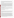analyzed by ToxScreen-II. Response to interfering compounds in clean drinking water also was evaluated. Dechlorinated drinking water samples from Columbus, Ohio, (DDW) were fortified with contaminants at concentrations ranging from lethal levels to levels 10,000 times less than the lethal dose and analyzed. Endpoint and precision, toxicity threshold for each contaminant, false positive/negative responses, ease of use, and sample throughput were evaluated.

Inhibition results (endpoints) from four replicates of each contaminant at each concentration level were evaluated to assess the ability of the ToxScreen-II to detect toxicity at various concentrations of contaminants, as well as to measure the precision of the ToxScreen-II results. The response of ToxScreen-II to compounds used during the water treatment process (interfering compounds) was evaluated by analyzing separate aliquots of DDW fortified with each potential interferent at approximately one-half the concentration limit recommended by the EPA's National Secondary Drinking Water Regulations guidance. For analysis of by-products of the chlorination process, unspiked DDW was analyzed because Columbus, Ohio, uses chlorination as its disinfectant procedure. For the analysis of by-products of the chloramination process, a separate drinking water sample from St.Petersburg, Florida, which uses chloramination as its disinfection process, was obtained. The samples were analyzed after residual chlorine was removed using sodium thiosulfate. Sample throughput was measured based on the number of samples analyzed per hour. Ease of use and reliability were determined based on documented observations of the operators and the verification test coordinator.

Quality control samples included method blank samples, which consisted of American Society for Testing and Materials Type II deionized water; positive control samples (fortified with sodium chloroacetate for the proorganic buffer samples and copper chloride for the pro-metal buffer samples); and negative control samples, which consisted of the unspiked DDW.

QA oversight of verification testing was provided by Battelle and EPA. Battelle QA staff conducted a technical systems audit, a performance evaluation audit, and a data quality audit of 10% of the test data. EPA QA staff also performed a technical systems audit while testing was being conducted.

#### **TECHNOLOGY DESCRIPTION**

The following description of ToxScreen-II was provided by the vendor and was not subjected to verification in this test.

Luminous bacteria are self-maintained luminescent units that, under proper conditions, emit high and steady levels of luminescence. Chemo-physical and biological toxicants that affect cell respiration, electron transport systems, adenosine triphosphate generation, and the rate of protein or lipid synthesis alter the level of luminescence. Similarly, agents that affect the cell's integrity, and especially membrane function, have a strong effect on *in vivo*  luminescence.

ToxScreen-II uses luminous bacteria, *Photobacterium leiognathi*, and special assay conditions to detect toxicants in water samples. When used in concurrent tests, two assay buffers (one for detecting organic pollutants [pro-organic buffer] and the other for detecting heavy metals [pro-metal buffer]) are used to discriminate between the presence of organic and metal toxicants at sub milligram-per-liter concentrations. Inhibition of greater than 50% using either buffer is considered a positive result. A positive result in the pro-organic buffer suggests that the contaminant causing the toxicity is organic, while a positive result in the pro-metal buffer suggests that the contaminant is a metal. First, a freeze-dried bioassay reagent is hydrated with the provided hydration buffer and, after five minutes, transferred into the provided storage buffer. The suspended reagent is maintained at 4°C until use (aliquots can be drawn for up to seven days). Next, pro-organic and pro-metal concentrated assay buffers are added separately to individual aliquots of source water samples, as well as to two aliquots of the reference sample. Then, aliquots of suspended reagent are rapidly dispensed into test cuvettes. Finally, after 90 minutes of incubation at ambient temperature, luminescence is measured using a portable luminometer. Changes in luminescence (compared with the reference sample) reflect water toxicity.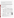To determine whether a contaminant caused detectable inhibition, the inhibition exhibited by drinking water spiked with a contaminant was compared to the inhibition exhibited by the unspiked drinking water. Four replicates of each spiked sample were analyzed. A result was considered positive if the inhibition of the water sample spiked with a contaminant plus or minus the standard deviation of four replicates did not include the inhibition of the unspiked drinking water.

The ToxScreen-II test kit contains stoppered vials holding freeze-dried luminous bacteria, empty test tubes, hydration buffer, storage buffer, pro-organic concentrated assay buffer, pro-metal concentrated assay buffer, and positive control solutions of copper chloride and sodium chloroacetate. A repeat dispenser (1 to 100 microliters  $[\mu L]$ ) and 10- to 1,000- $\mu L$  pipettes and tips are required, but not provided in the kit. The price of the ToxScreen-II test kit (1,000 single tests) is \$300. The luminometer for reading the results of the bioassays costs \$2,895. The luminometer can be integrated with a personal computer for data acquisition, evaluation, and storage. The luminometer is 5.9 x 11.0 x 6.7 inches and weighs approximately one pound. An insulating styrofoam case is available for an additional cost to conduct field tests.

### **VERIFICATION OF PERFORMANCE**

**Endpoint and Precision/Toxicity Threshold:** The table below presents ToxScreen-II inhibition data and the range of standard deviations for the contaminants and potential interferences that were tested. The toxicity thresholds also are shown for each contaminant tested.

|                                                   |                                                    | Lethal                                                      |       | <b>Average Inhibitions at Concentrations Relative to</b><br>the LD Concentration $(\% )$ | <b>Range of</b> |           |                                            |                                             |                                      |
|---------------------------------------------------|----------------------------------------------------|-------------------------------------------------------------|-------|------------------------------------------------------------------------------------------|-----------------|-----------|--------------------------------------------|---------------------------------------------|--------------------------------------|
|                                                   | Compound                                           | Dose (LD)<br>Conc.<br>(mg/L)                                | LD    | LD/10                                                                                    | LD/100          |           | $LD/1,000$ $LD/10,000$                     | <b>Standard</b><br><b>Deviations</b><br>(%) | <b>Toxicity</b><br>Thresh.<br>(mg/L) |
|                                                   | Aldicarb                                           | 280                                                         | 69    | 38                                                                                       | 58              | 11        | NA <sup>(a)</sup>                          | $2 - 15$                                    | 0.28                                 |
| Contaminants<br>in DDW                            | Colchicine                                         | 240                                                         | 83    | 20                                                                                       | 34              | 55        | $-31$                                      | $3 - 48$                                    | 0.24                                 |
|                                                   | Cyanide                                            | 250                                                         | 99    | 85                                                                                       | 99              | 68        | 14                                         | $0 - 29$                                    | 0.25                                 |
|                                                   |                                                    | $0.025^{(b)}$                                               | 14    | $-6$                                                                                     | <b>NA</b>       | <b>NA</b> | <b>NA</b>                                  | $18 - 27$                                   | <b>NA</b>                            |
|                                                   | Dicrotophos                                        | 1,400                                                       | 99    | 99                                                                                       | 81              | 41        | 41                                         | $0 - 18$                                    | 0.14                                 |
|                                                   | Thallium sulfate                                   | 2,400                                                       | $-10$ | 52                                                                                       | $-12$           | $-32$     | NA                                         | $10 - 80$                                   | ND <sup>(c)</sup>                    |
| Parameter<br>Potential<br>interferences<br>in DDW | <b>Botulinum</b><br>$\text{to}\, \text{sin}^{(d)}$ | 0.30                                                        | 69    | 47                                                                                       | $-15$           | $-8$      | <b>NA</b>                                  | $14 - 23$                                   | 0.030                                |
|                                                   | Ricin <sup>(e)</sup>                               | 15                                                          | 50    | 10                                                                                       | 30              | $-10$     | NA                                         | $6 - 28$                                    | 15                                   |
|                                                   | Soman                                              | $0.068^{(f)}$                                               | 5     | $-1$                                                                                     | $-9$            | $-17$     | <b>NA</b>                                  | $9 - 31$                                    | ND                                   |
|                                                   | VX                                                 | 0.22                                                        | $-8$  | $-5$                                                                                     | $-13$           | $-59$     | <b>NA</b>                                  | $6 - 30$                                    | ND                                   |
|                                                   | Conc.<br>(mg/L)                                    | <b>Average Inhibitions at a</b><br>Single Concentration (%) |       |                                                                                          |                 |           | <b>Standard</b><br><b>Deviation</b><br>(%) |                                             |                                      |
|                                                   | Aluminum                                           | 0.36                                                        |       |                                                                                          | 41              |           |                                            |                                             |                                      |
|                                                   | Copper                                             | 0.65                                                        |       |                                                                                          | 7               |           |                                            |                                             |                                      |
|                                                   | Iron                                               | 0.069                                                       |       |                                                                                          | 23              |           |                                            |                                             |                                      |
|                                                   | Manganese                                          | 0.26                                                        |       |                                                                                          | $-23$           |           |                                            | 7                                           |                                      |
|                                                   | Zinc                                               | 3.5                                                         |       |                                                                                          | $-68$           |           |                                            | 79                                          |                                      |

*Pro-Organic Buffer* 

(a)  $NA = Data$  not collected at this concentration level for this contaminant.<br>(b)  $0.025 \text{ mg/T}$  is not a lethal dose concentration, but it is used to describe a

(b)  $0.025 \text{ mg/L}$  is not a lethal dose concentration, but it is used to describe additional concentrations of cyanide that were analyzed.<br>
(c)  $ND - Not detectable$ 

(c)  $ND = Not detectable.$ <br>(d) Lethel does solution a

(d) Lethal dose solution also contained 3 mg/L phosphate and 1 mg/L sodium chloride.

(e) Lethal dose solution also contained 3 mg/L phosphate, 26 mg/L sodium chloride, and 2 mg/L sodium azide.<br>(f) Due to the degradation of somen in water, the stock solution confirmation analysis confirmed that the conce

Due to the degradation of soman in water, the stock solution confirmation analysis confirmed that the concentration of the lethal dose was 23% of the expected concentration of 0.30 mg/L.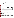|                                      |                                            | Lethal<br>Dose (LD)  |                                                                    | <b>Average Inhibitions at Concentrations Relative to</b><br>the LD Concentration (%) | <b>Range of</b><br><b>Standard</b> | <b>Toxicity</b> |                   |                                               |                   |
|--------------------------------------|--------------------------------------------|----------------------|--------------------------------------------------------------------|--------------------------------------------------------------------------------------|------------------------------------|-----------------|-------------------|-----------------------------------------------|-------------------|
| <b>Parameter</b>                     | Compound                                   | Conc.<br>(mg/L)      | LD                                                                 | LD/10                                                                                | LD/100                             | LD/1,000        | LD/10,000         | <b>Deviations</b><br>(%)                      | Thresh.<br>(mg/L) |
|                                      | Aldicarb                                   | 280                  | $-21$                                                              | 5                                                                                    | $-17$                              | $-46$           | NA <sup>(a)</sup> | $1 - 7$                                       | $ND^{(b)}$        |
|                                      | Colchicine                                 | 240                  | $-42$                                                              | $-72$                                                                                | $-83$                              | $-79$           | $\overline{4}$    | $5 - 12$                                      | ND                |
|                                      | Cyanide                                    | 250                  | 99                                                                 | 48                                                                                   | 80                                 | 35              | 31                | $1 - 13$                                      | 0.025             |
|                                      |                                            | 0.025 <sup>(c)</sup> | 31                                                                 | 3                                                                                    | NA                                 | <b>NA</b>       | NA                | $5 - 8$                                       | <b>NA</b>         |
| Contaminants                         | Dicrotophos                                | 1,400                | 31                                                                 | $-76$                                                                                | $-50$                              | $-32$           | $-52$             | $9 - 23$                                      | 1,400             |
| in DDW                               | Thallium<br>sulfate                        | 2,400                | 98                                                                 | 69                                                                                   | 16                                 | 6               | <b>NA</b>         | $1 - 9$                                       | 240               |
|                                      | <b>Botulinum</b><br>$toxin$ <sup>(d)</sup> | 0.30                 | $-44$                                                              | $\mathbf{1}$                                                                         | $-57$                              | $-97$           | <b>NA</b>         | $9 - 22$                                      | ND                |
|                                      | Ricin <sup>(e)</sup>                       | 15                   | $-89$                                                              | $-5$                                                                                 | $-93$                              | $-89$           | NA                | $12 - 74$                                     | ND                |
|                                      | Soman                                      | $0.068^{(f)}$        | $-15$                                                              | $-47$                                                                                | $-62$                              | $-55$           | <b>NA</b>         | $3 - 71$                                      | ND                |
|                                      | <b>VX</b>                                  | 0.22                 | $-38$                                                              | $-19$                                                                                | $-21$                              | $-31$           | NA                | $11 - 31$                                     | ND                |
|                                      | <b>Interference</b>                        | Conc.<br>(mg/L)      | <b>Average Inhibitions at a</b><br><b>Single Concentration (%)</b> |                                                                                      |                                    |                 |                   | <b>Standard</b><br><b>Deviation</b><br>$(\%)$ |                   |
| Potential<br>interferences<br>in DDW | Aluminum                                   | 0.36                 |                                                                    |                                                                                      | 19                                 |                 |                   |                                               |                   |
|                                      | Copper                                     | 0.65                 |                                                                    |                                                                                      | $\overline{2}$                     |                 |                   |                                               |                   |
|                                      | Iron                                       | 0.069                |                                                                    |                                                                                      | 3                                  |                 |                   | 32                                            |                   |
|                                      | Manganese                                  | 0.26                 |                                                                    |                                                                                      | 22                                 |                 |                   | 7                                             |                   |
|                                      | Zinc                                       | 3.5                  |                                                                    |                                                                                      | 100                                |                 |                   | $\overline{0}$                                |                   |

#### (a)  $NA = Data$  not collected at this concentration level for this contaminant.

 $ND = Not detectable.$ 

*Pro-Metal Buffer* 

 $\frac{1}{2}$  0.025 mg/L is not a lethal dose concentration, but it is used to describe additional concentrations of cyanide that were analyzed.

(d) Lethal dose solution also contained 3 mg/L phosphate and 1 mg/L sodium chloride.

(e) Lethal dose solution also contained 3 mg/L phosphate, 26 mg/L sodium chloride, and 2 mg/L sodium azide.

Due to the degradation of soman in water, the stock solution confirmation analysis confirmed that the concentration of the lethal dose was 23% of the expected concentration of 0.30 mg/L.

**False Positive/Negative Responses:** False positive responses were observed for both chlorinated and chloraminated water samples with the pro-organic buffer. To avoid such results, reference samples similar to the test samples should be used. However, since the light emitted for background water samples is greatly inhibited (66  $\pm$  34% for the chlorinated drinking water and 78%  $\pm$  11% for the chloraminated drinking water), a false positive response in these matrices may occur. The inhibition at the lethal concentration level was significantly larger than the negative control for all contaminants except VX, soman, and thallium sulfate (false negative responses were observed).

With the pro-metal buffer, the sample from the chlorinated water supply exhibited an inhibition of  $23\% \pm 15\%$ . This could cause slightly exaggerated results. Using a reference sample similar to the drinking water sample being tested would protect from this possibility. Inhibition was  $-48\% \pm 20\%$  for the sample from the chloraminated water supply, indicating the possibility of false negative results. Adding a contaminant that caused 50% inhibition would result in an inhibition of approximately 0%. Using a reference sample similar to the water sample treated by dechloramination may avoid false negative results. Aldicarb, colchicine, botulinum toxin, ricin, soman, and VX were indistinguishable from the negative control.